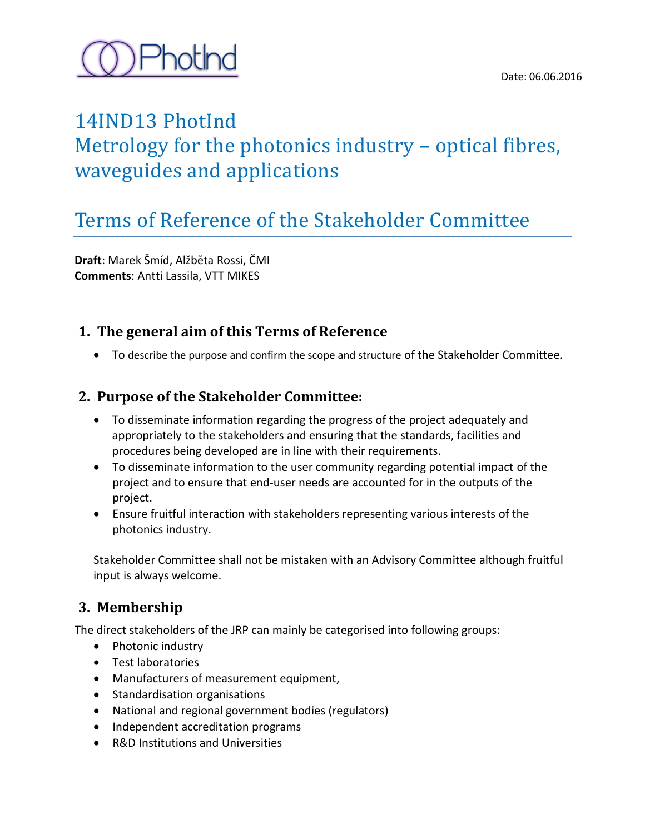

### 14IND13 PhotInd

## Metrology for the photonics industry – optical fibres, waveguides and applications

## Terms of Reference of the Stakeholder Committee

**Draft**: Marek Šmíd, Alžběta Rossi, ČMI **Comments**: Antti Lassila, VTT MIKES

#### **1. The general aim of this Terms of Reference**

To describe the purpose and confirm the scope and structure of the Stakeholder Committee.

#### **2. Purpose of the Stakeholder Committee:**

- To disseminate information regarding the progress of the project adequately and appropriately to the stakeholders and ensuring that the standards, facilities and procedures being developed are in line with their requirements.
- To disseminate information to the user community regarding potential impact of the project and to ensure that end-user needs are accounted for in the outputs of the project.
- Ensure fruitful interaction with stakeholders representing various interests of the photonics industry.

Stakeholder Committee shall not be mistaken with an Advisory Committee although fruitful input is always welcome.

#### **3. Membership**

The direct stakeholders of the JRP can mainly be categorised into following groups:

- Photonic industry
- Test laboratories
- Manufacturers of measurement equipment,
- Standardisation organisations
- National and regional government bodies (regulators)
- Independent accreditation programs
- R&D Institutions and Universities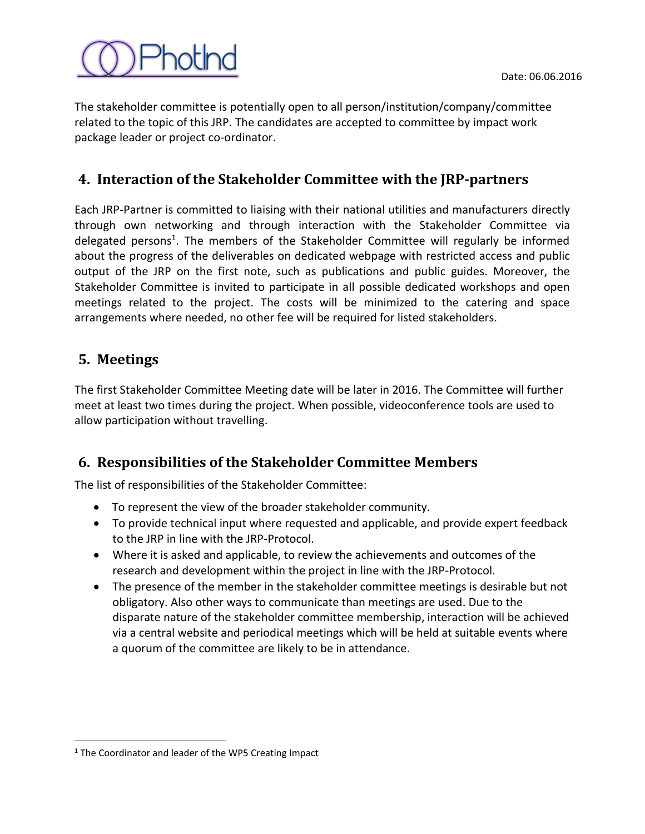

The stakeholder committee is potentially open to all person/institution/company/committee related to the topic of this JRP. The candidates are accepted to committee by impact work package leader or project co-ordinator.

#### **4. Interaction of the Stakeholder Committee with the JRP-partners**

Each JRP-Partner is committed to liaising with their national utilities and manufacturers directly through own networking and through interaction with the Stakeholder Committee via delegated persons<sup>1</sup>. The members of the Stakeholder Committee will regularly be informed about the progress of the deliverables on dedicated webpage with restricted access and public output of the JRP on the first note, such as publications and public guides. Moreover, the Stakeholder Committee is invited to participate in all possible dedicated workshops and open meetings related to the project. The costs will be minimized to the catering and space arrangements where needed, no other fee will be required for listed stakeholders.

#### **5. Meetings**

 $\overline{a}$ 

The first Stakeholder Committee Meeting date will be later in 2016. The Committee will further meet at least two times during the project. When possible, videoconference tools are used to allow participation without travelling.

#### **6. Responsibilities of the Stakeholder Committee Members**

The list of responsibilities of the Stakeholder Committee:

- To represent the view of the broader stakeholder community.
- To provide technical input where requested and applicable, and provide expert feedback to the JRP in line with the JRP-Protocol.
- Where it is asked and applicable, to review the achievements and outcomes of the research and development within the project in line with the JRP-Protocol.
- The presence of the member in the stakeholder committee meetings is desirable but not obligatory. Also other ways to communicate than meetings are used. Due to the disparate nature of the stakeholder committee membership, interaction will be achieved via a central website and periodical meetings which will be held at suitable events where a quorum of the committee are likely to be in attendance.

<sup>&</sup>lt;sup>1</sup> The Coordinator and leader of the WP5 Creating Impact